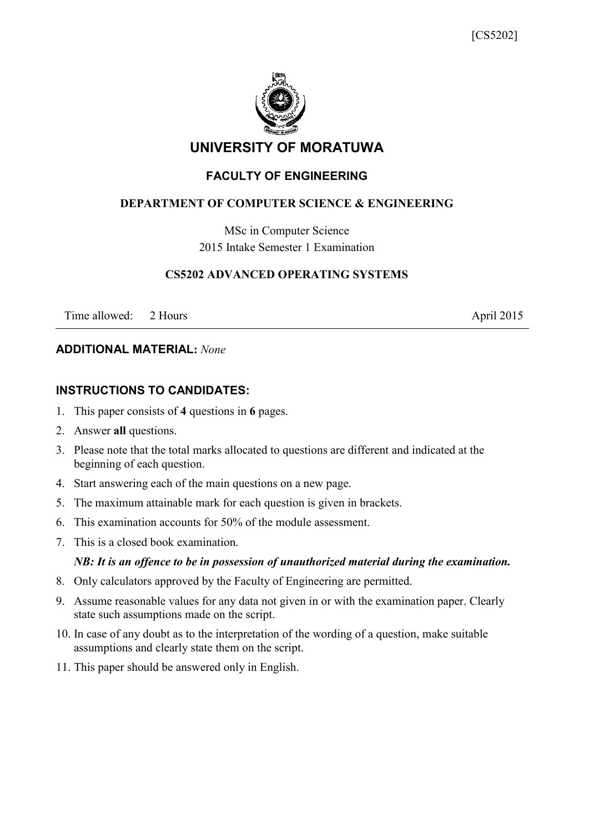

## **UNIVERSITY OF MORATUWA**

## **FACULTY OF ENGINEERING**

## **DEPARTMENT OF COMPUTER SCIENCE & ENGINEERING**

MSc in Computer Science 2015 Intake Semester 1 Examination

#### **CS5202 ADVANCED OPERATING SYSTEMS**

Time allowed: 2 Hours April 2015

## **ADDITIONAL MATERIAL:** *None*

#### **INSTRUCTIONS TO CANDIDATES:**

- 1. This paper consists of **4** questions in **6** pages.
- 2. Answer **all** questions.
- 3. Please note that the total marks allocated to questions are different and indicated at the beginning of each question.
- 4. Start answering each of the main questions on a new page.
- 5. The maximum attainable mark for each question is given in brackets.
- 6. This examination accounts for 50% of the module assessment.
- 7. This is a closed book examination.

#### *NB: It is an offence to be in possession of unauthorized material during the examination.*

- 8. Only calculators approved by the Faculty of Engineering are permitted.
- 9. Assume reasonable values for any data not given in or with the examination paper. Clearly state such assumptions made on the script.
- 10. In case of any doubt as to the interpretation of the wording of a question, make suitable assumptions and clearly state them on the script.
- 11. This paper should be answered only in English.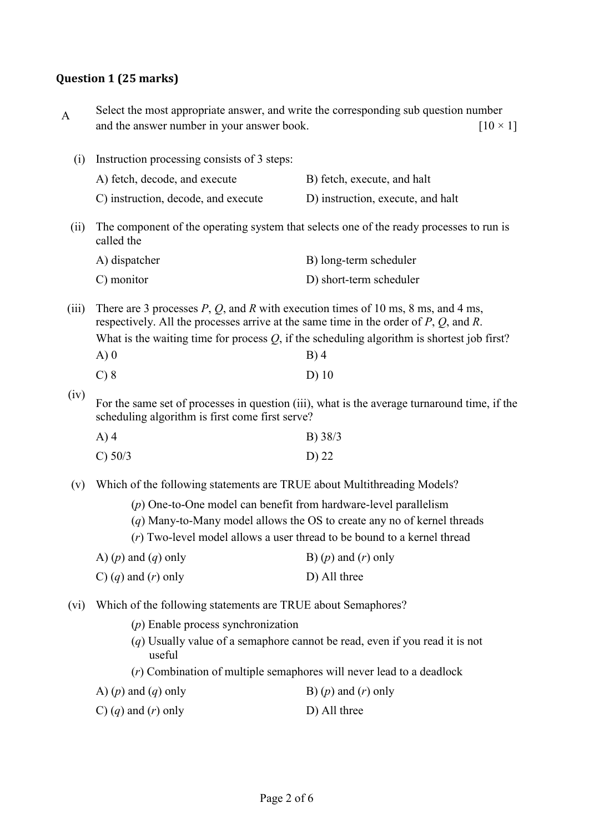# **Question 1 (25 marks)**

| A                                                                                                                                                       | and the answer number in your answer book.                                                                                                                                                                                                                                                                  | Select the most appropriate answer, and write the corresponding sub question number<br>$[10 \times 1]$ |  |
|---------------------------------------------------------------------------------------------------------------------------------------------------------|-------------------------------------------------------------------------------------------------------------------------------------------------------------------------------------------------------------------------------------------------------------------------------------------------------------|--------------------------------------------------------------------------------------------------------|--|
| (i)                                                                                                                                                     | Instruction processing consists of 3 steps:                                                                                                                                                                                                                                                                 |                                                                                                        |  |
|                                                                                                                                                         | A) fetch, decode, and execute                                                                                                                                                                                                                                                                               | B) fetch, execute, and halt                                                                            |  |
|                                                                                                                                                         | C) instruction, decode, and execute                                                                                                                                                                                                                                                                         | D) instruction, execute, and halt                                                                      |  |
| (ii)                                                                                                                                                    | The component of the operating system that selects one of the ready processes to run is<br>called the                                                                                                                                                                                                       |                                                                                                        |  |
|                                                                                                                                                         | A) dispatcher                                                                                                                                                                                                                                                                                               | B) long-term scheduler                                                                                 |  |
|                                                                                                                                                         | C) monitor                                                                                                                                                                                                                                                                                                  | D) short-term scheduler                                                                                |  |
| (iii)                                                                                                                                                   | There are 3 processes $P$ , $Q$ , and $R$ with execution times of 10 ms, 8 ms, and 4 ms,<br>respectively. All the processes arrive at the same time in the order of $P$ , $Q$ , and $R$ .<br>What is the waiting time for process $Q$ , if the scheduling algorithm is shortest job first?<br>A)0<br>$B)$ 4 |                                                                                                        |  |
|                                                                                                                                                         | $C$ ) $8$                                                                                                                                                                                                                                                                                                   | $D)$ 10                                                                                                |  |
| (iv)<br>For the same set of processes in question (iii), what is the average turnaround time, if the<br>scheduling algorithm is first come first serve? |                                                                                                                                                                                                                                                                                                             |                                                                                                        |  |
|                                                                                                                                                         | $A)$ 4                                                                                                                                                                                                                                                                                                      | B) 38/3                                                                                                |  |
|                                                                                                                                                         | C) 50/3                                                                                                                                                                                                                                                                                                     | D) 22                                                                                                  |  |
| (v)                                                                                                                                                     | Which of the following statements are TRUE about Multithreading Models?                                                                                                                                                                                                                                     |                                                                                                        |  |
|                                                                                                                                                         | $(p)$ One-to-One model can benefit from hardware-level parallelism<br>$(q)$ Many-to-Many model allows the OS to create any no of kernel threads<br>(r) Two-level model allows a user thread to be bound to a kernel thread                                                                                  |                                                                                                        |  |
|                                                                                                                                                         | A) $(p)$ and $(q)$ only                                                                                                                                                                                                                                                                                     | B) $(p)$ and $(r)$ only                                                                                |  |
|                                                                                                                                                         | C) $(q)$ and $(r)$ only                                                                                                                                                                                                                                                                                     | D) All three                                                                                           |  |
| $(v_i)$                                                                                                                                                 | Which of the following statements are TRUE about Semaphores?                                                                                                                                                                                                                                                |                                                                                                        |  |
|                                                                                                                                                         | $(p)$ Enable process synchronization                                                                                                                                                                                                                                                                        |                                                                                                        |  |
|                                                                                                                                                         | $(q)$ Usually value of a semaphore cannot be read, even if you read it is not<br>useful                                                                                                                                                                                                                     |                                                                                                        |  |
|                                                                                                                                                         |                                                                                                                                                                                                                                                                                                             | $(r)$ Combination of multiple semaphores will never lead to a deadlock                                 |  |
|                                                                                                                                                         | A) $(p)$ and $(q)$ only                                                                                                                                                                                                                                                                                     | B) $(p)$ and $(r)$ only                                                                                |  |
|                                                                                                                                                         | C) $(q)$ and $(r)$ only                                                                                                                                                                                                                                                                                     | D) All three                                                                                           |  |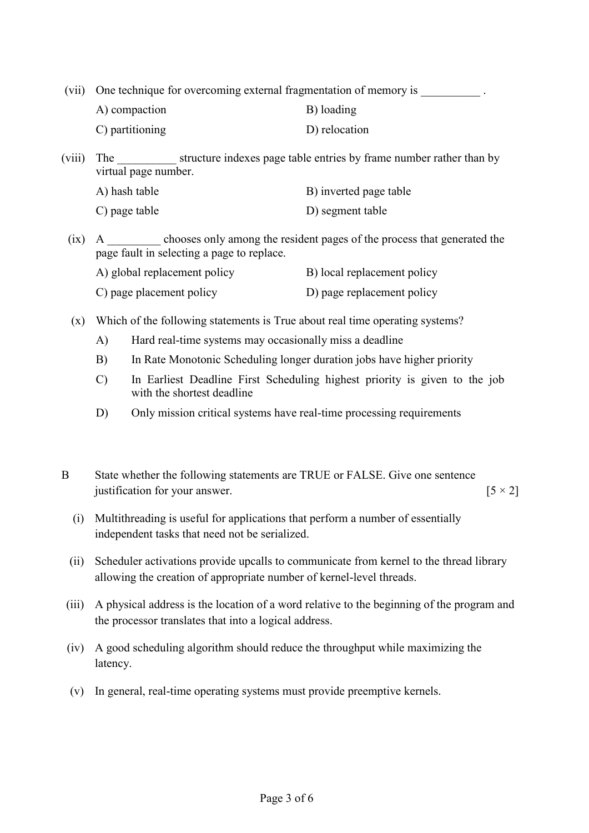(vii) One technique for overcoming external fragmentation of memory is \_\_\_\_\_\_\_\_\_\_

| A) compaction                | B) loading    |
|------------------------------|---------------|
| $\mathcal{C}$ ) partitioning | D) relocation |

(viii) The structure indexes page table entries by frame number rather than by virtual page number.

| A) hash table | B) inverted page table |
|---------------|------------------------|
| C) page table | D) segment table       |

(ix) A \_\_\_\_\_\_\_\_\_ chooses only among the resident pages of the process that generated the page fault in selecting a page to replace.

| A) global replacement policy | B) local replacement policy |
|------------------------------|-----------------------------|
| C) page placement policy     | D) page replacement policy  |

(x) Which of the following statements is True about real time operating systems?

- A) Hard real-time systems may occasionally miss a deadline
- B) In Rate Monotonic Scheduling longer duration jobs have higher priority
- C) In Earliest Deadline First Scheduling highest priority is given to the job with the shortest deadline
- D) Only mission critical systems have real-time processing requirements
- B State whether the following statements are TRUE or FALSE. Give one sentence justification for your answer.  $[5 \times 2]$ 
	- (i) Multithreading is useful for applications that perform a number of essentially independent tasks that need not be serialized.
	- (ii) Scheduler activations provide upcalls to communicate from kernel to the thread library allowing the creation of appropriate number of kernel-level threads.
- (iii) A physical address is the location of a word relative to the beginning of the program and the processor translates that into a logical address.
- (iv) A good scheduling algorithm should reduce the throughput while maximizing the latency.
- (v) In general, real-time operating systems must provide preemptive kernels.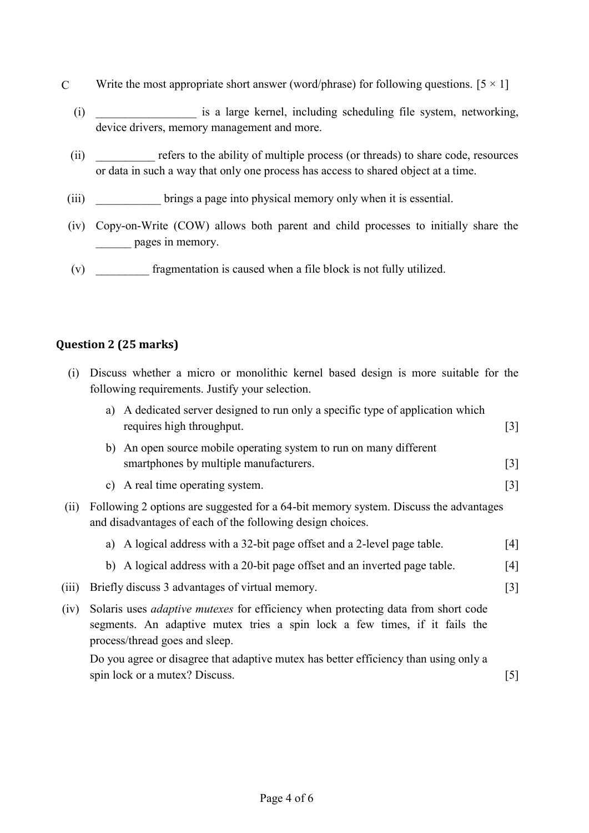- C Write the most appropriate short answer (word/phrase) for following questions.  $[5 \times 1]$ 
	- (i) \_\_\_\_\_\_\_\_\_\_\_\_\_\_\_\_\_ is a large kernel, including scheduling file system, networking, device drivers, memory management and more.
	- (ii) \_\_\_\_\_\_\_\_\_\_ refers to the ability of multiple process (or threads) to share code, resources or data in such a way that only one process has access to shared object at a time.
	- (iii) \_\_\_\_\_\_\_\_\_\_\_ brings a page into physical memory only when it is essential.
	- (iv) Copy-on-Write (COW) allows both parent and child processes to initially share the \_\_\_\_\_\_ pages in memory.
	- (v) \_\_\_\_\_\_\_\_\_ fragmentation is caused when a file block is not fully utilized.

#### **Question 2 (25 marks)**

| (i)   | Discuss whether a micro or monolithic kernel based design is more suitable for the<br>following requirements. Justify your selection.                                                                    |       |
|-------|----------------------------------------------------------------------------------------------------------------------------------------------------------------------------------------------------------|-------|
|       | a) A dedicated server designed to run only a specific type of application which<br>requires high throughput.                                                                                             | $[3]$ |
|       | b) An open source mobile operating system to run on many different<br>smartphones by multiple manufacturers.                                                                                             | $[3]$ |
|       | c) A real time operating system.                                                                                                                                                                         | $[3]$ |
| (ii)  | Following 2 options are suggested for a 64-bit memory system. Discuss the advantages<br>and disadvantages of each of the following design choices.                                                       |       |
|       | a) A logical address with a 32-bit page offset and a 2-level page table.                                                                                                                                 | [4]   |
|       | b) A logical address with a 20-bit page offset and an inverted page table.                                                                                                                               | [4]   |
| (iii) | Briefly discuss 3 advantages of virtual memory.                                                                                                                                                          | $[3]$ |
| (iv)  | Solaris uses <i>adaptive mutexes</i> for efficiency when protecting data from short code<br>segments. An adaptive mutex tries a spin lock a few times, if it fails the<br>process/thread goes and sleep. |       |
|       | Do you agree or disagree that adaptive mutex has better efficiency than using only a                                                                                                                     |       |
|       | spin lock or a mutex? Discuss.                                                                                                                                                                           | $[5]$ |
|       |                                                                                                                                                                                                          |       |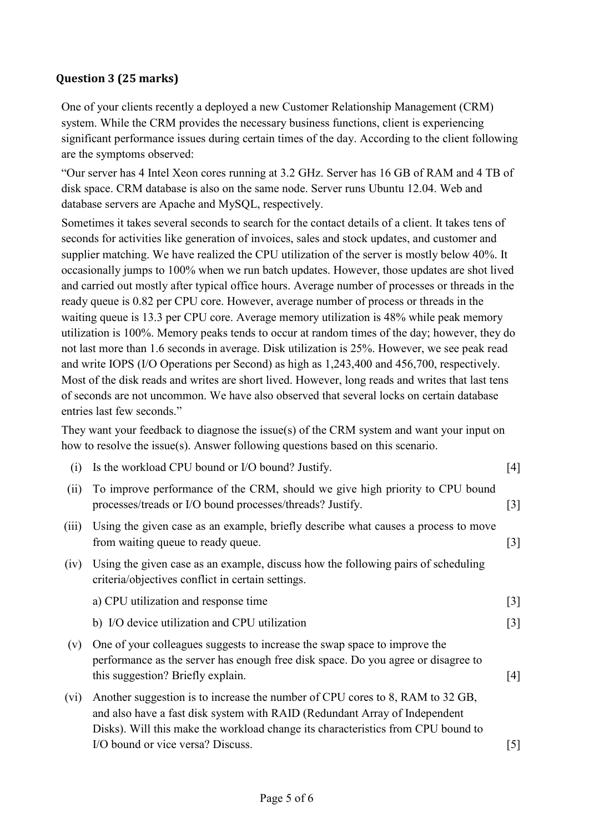## **Question 3 (25 marks)**

One of your clients recently a deployed a new Customer Relationship Management (CRM) system. While the CRM provides the necessary business functions, client is experiencing significant performance issues during certain times of the day. According to the client following are the symptoms observed:

"Our server has 4 Intel Xeon cores running at 3.2 GHz. Server has 16 GB of RAM and 4 TB of disk space. CRM database is also on the same node. Server runs Ubuntu 12.04. Web and database servers are Apache and MySQL, respectively.

Sometimes it takes several seconds to search for the contact details of a client. It takes tens of seconds for activities like generation of invoices, sales and stock updates, and customer and supplier matching. We have realized the CPU utilization of the server is mostly below 40%. It occasionally jumps to 100% when we run batch updates. However, those updates are shot lived and carried out mostly after typical office hours. Average number of processes or threads in the ready queue is 0.82 per CPU core. However, average number of process or threads in the waiting queue is 13.3 per CPU core. Average memory utilization is 48% while peak memory utilization is 100%. Memory peaks tends to occur at random times of the day; however, they do not last more than 1.6 seconds in average. Disk utilization is 25%. However, we see peak read and write IOPS (I/O Operations per Second) as high as 1,243,400 and 456,700, respectively. Most of the disk reads and writes are short lived. However, long reads and writes that last tens of seconds are not uncommon. We have also observed that several locks on certain database entries last few seconds."

They want your feedback to diagnose the issue(s) of the CRM system and want your input on how to resolve the issue(s). Answer following questions based on this scenario.

| (i)     | Is the workload CPU bound or I/O bound? Justify.                                                                                                                                                                                                | [4]   |
|---------|-------------------------------------------------------------------------------------------------------------------------------------------------------------------------------------------------------------------------------------------------|-------|
| (ii)    | To improve performance of the CRM, should we give high priority to CPU bound<br>processes/treads or I/O bound processes/threads? Justify.                                                                                                       | $[3]$ |
| (iii)   | Using the given case as an example, briefly describe what causes a process to move<br>from waiting queue to ready queue.                                                                                                                        | $[3]$ |
| (iv)    | Using the given case as an example, discuss how the following pairs of scheduling<br>criteria/objectives conflict in certain settings.                                                                                                          |       |
|         | a) CPU utilization and response time                                                                                                                                                                                                            | $[3]$ |
|         | b) I/O device utilization and CPU utilization                                                                                                                                                                                                   | $[3]$ |
| (v)     | One of your colleagues suggests to increase the swap space to improve the<br>performance as the server has enough free disk space. Do you agree or disagree to<br>this suggestion? Briefly explain.                                             | [4]   |
| $(v_i)$ | Another suggestion is to increase the number of CPU cores to 8, RAM to 32 GB,<br>and also have a fast disk system with RAID (Redundant Array of Independent<br>Disks). Will this make the workload change its characteristics from CPU bound to |       |
|         | I/O bound or vice versa? Discuss.                                                                                                                                                                                                               | [5]   |
|         |                                                                                                                                                                                                                                                 |       |